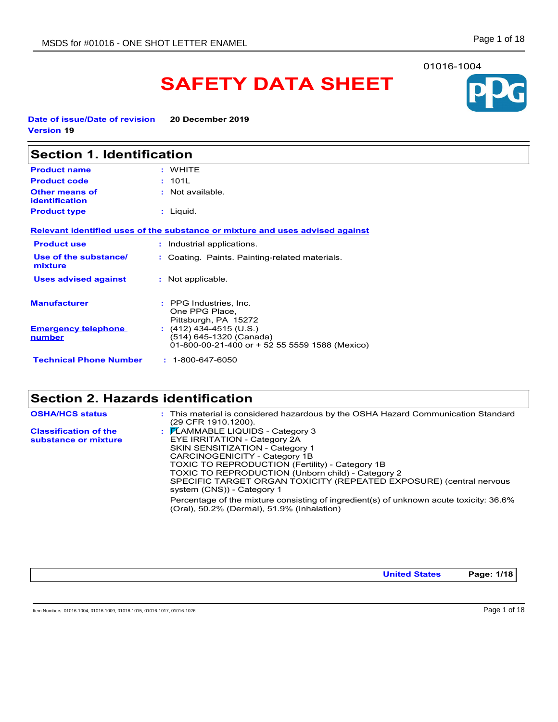# **SAFETY DATA SHEET**

**Date of issue/Date of revision 20 December 2019 Version 19**

| <b>Section 1. Identification</b>               |                                                                                                      |  |  |
|------------------------------------------------|------------------------------------------------------------------------------------------------------|--|--|
| <b>Product name</b>                            | : WHITE                                                                                              |  |  |
| <b>Product code</b>                            | : 101L                                                                                               |  |  |
| <b>Other means of</b><br><b>identification</b> | : Not available.                                                                                     |  |  |
| <b>Product type</b>                            | $:$ Liquid.                                                                                          |  |  |
|                                                | Relevant identified uses of the substance or mixture and uses advised against                        |  |  |
| <b>Product use</b>                             | : Industrial applications.                                                                           |  |  |
| Use of the substance/<br>mixture               | : Coating. Paints. Painting-related materials.                                                       |  |  |
| <b>Uses advised against</b>                    | : Not applicable.                                                                                    |  |  |
| <b>Manufacturer</b>                            | : PPG Industries, Inc.<br>One PPG Place,<br>Pittsburgh, PA 15272                                     |  |  |
| <b>Emergency telephone</b><br><u>number</u>    | $(412)$ 434-4515 (U.S.)<br>(514) 645-1320 (Canada)<br>01-800-00-21-400 or + 52 55 5559 1588 (Mexico) |  |  |
| <b>Technical Phone Number</b>                  | $: 1 - 800 - 647 - 6050$                                                                             |  |  |

# **Section 2. Hazards identification**

| <b>OSHA/HCS status</b>                               | : This material is considered hazardous by the OSHA Hazard Communication Standard<br>(29 CFR 1910 1200).                                                                                                                                                                                                                                                                  |
|------------------------------------------------------|---------------------------------------------------------------------------------------------------------------------------------------------------------------------------------------------------------------------------------------------------------------------------------------------------------------------------------------------------------------------------|
| <b>Classification of the</b><br>substance or mixture | $\frac{1}{2}$ $\mathsf{F}$ LAMMABLE LIQUIDS - Category 3<br>EYE IRRITATION - Category 2A<br>SKIN SENSITIZATION - Category 1<br>CARCINOGENICITY - Category 1B<br>TOXIC TO REPRODUCTION (Fertility) - Category 1B<br>TOXIC TO REPRODUCTION (Unborn child) - Category 2<br>SPECIFIC TARGET ORGAN TOXICITY (REPEATED EXPOSURE) (central nervous<br>system (CNS)) - Category 1 |
|                                                      | Percentage of the mixture consisting of ingredient(s) of unknown acute toxicity: 36.6%<br>(Oral), 50.2% (Dermal), 51.9% (Inhalation)                                                                                                                                                                                                                                      |

**United States Page: 1/18**

Item Numbers: 01016-1004, 01016-1009, 01016-1015, 01016-1017, 01016-1026 Page 1 of 18

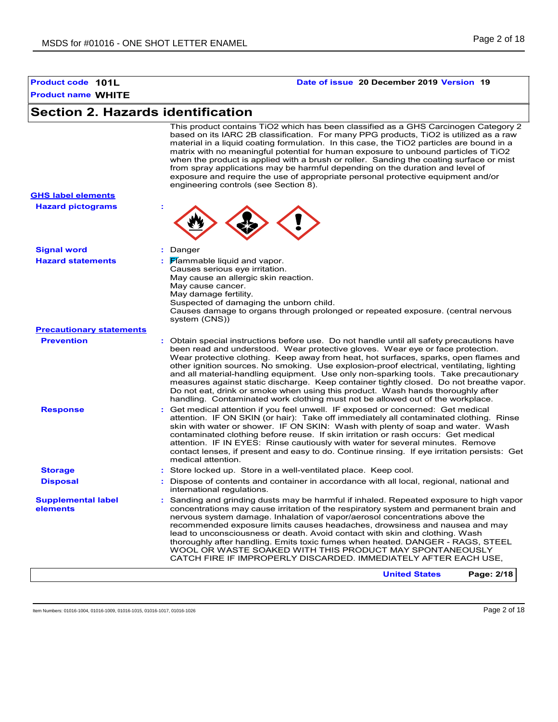#### **Product name WHITE Section 2. Hazards identification Signal word :** Danger Hazard statements **:** Flammable liquid and vapor. Causes serious eye irritation. May cause an allergic skin reaction. May cause cancer. May damage fertility. Suspected of damaging the unborn child. Causes damage to organs through prolonged or repeated exposure. (central nervous system (CNS)) **Hazard pictograms : Precautionary statements Prevention :** Obtain special instructions before use. Do not handle until all safety precautions have been read and understood. Wear protective gloves. Wear eye or face protection. Wear protective clothing. Keep away from heat, hot surfaces, sparks, open flames and other ignition sources. No smoking. Use explosion-proof electrical, ventilating, lighting and all material-handling equipment. Use only non-sparking tools. Take precautionary measures against static discharge. Keep container tightly closed. Do not breathe vapor. Do not eat, drink or smoke when using this product. Wash hands thoroughly after handling. Contaminated work clothing must not be allowed out of the workplace. **Response :** Get medical attention if you feel unwell. IF exposed or concerned: Get medical attention. IF ON SKIN (or hair): Take off immediately all contaminated clothing. Rinse skin with water or shower. IF ON SKIN: Wash with plenty of soap and water. Wash contaminated clothing before reuse. If skin irritation or rash occurs: Get medical attention. IF IN EYES: Rinse cautiously with water for several minutes. Remove contact lenses, if present and easy to do. Continue rinsing. If eye irritation persists: Get medical attention. **Storage :** Store locked up. Store in a well-ventilated place. Keep cool. **Disposal :** Dispose of contents and container in accordance with all local, regional, national and international regulations. **GHS label elements Supplemental label elements :** Sanding and grinding dusts may be harmful if inhaled. Repeated exposure to high vapor concentrations may cause irritation of the respiratory system and permanent brain and nervous system damage. Inhalation of vapor/aerosol concentrations above the recommended exposure limits causes headaches, drowsiness and nausea and may lead to unconsciousness or death. Avoid contact with skin and clothing. Wash thoroughly after handling. Emits toxic fumes when heated. DANGER - RAGS, STEEL WOOL OR WASTE SOAKED WITH THIS PRODUCT MAY SPONTANEOUSLY CATCH FIRE IF IMPROPERLY DISCARDED. IMMEDIATELY AFTER EACH USE, This product contains TiO2 which has been classified as a GHS Carcinogen Category 2 based on its IARC 2B classification. For many PPG products, TiO2 is utilized as a raw material in a liquid coating formulation. In this case, the TiO2 particles are bound in a matrix with no meaningful potential for human exposure to unbound particles of TiO2 when the product is applied with a brush or roller. Sanding the coating surface or mist from spray applications may be harmful depending on the duration and level of exposure and require the use of appropriate personal protective equipment and/or engineering controls (see Section 8). **United States Page: 2/18**

**Product code 101L Date of issue 20 December 2019 Version 19**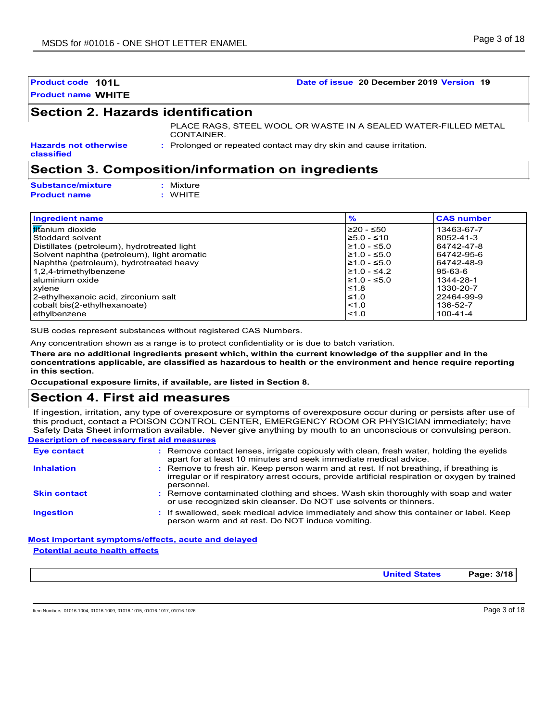**Product code 101L Date of issue 20 December 2019 Version 19**

## **Section 2. Hazards identification**

PLACE RAGS, STEEL WOOL OR WASTE IN A SEALED WATER-FILLED METAL CONTAINER.

**Hazards not otherwise classified**

**:** Prolonged or repeated contact may dry skin and cause irritation.

# **Section 3. Composition/information on ingredients**

| <b>Substance/mixture</b> | : Mixture |
|--------------------------|-----------|
| <b>Product name</b>      | $:$ WHITE |

| Ingredient name                             | $\frac{9}{6}$ | <b>CAS number</b> |
|---------------------------------------------|---------------|-------------------|
| <b>titanium</b> dioxide                     | ≥20 - ≤50     | 13463-67-7        |
| Stoddard solvent                            | l≥5.0 - ≤10   | 8052-41-3         |
| Distillates (petroleum), hydrotreated light | l≥1.0 - ≤5.0  | 64742-47-8        |
| Solvent naphtha (petroleum), light aromatic | l≥1.0 - ≤5.0  | 64742-95-6        |
| Naphtha (petroleum), hydrotreated heavy     | l≥1.0 - ≤5.0  | 64742-48-9        |
| 1,2,4-trimethylbenzene                      | l≥1.0 - ≤4.2  | 95-63-6           |
| aluminium oxide                             | l≥1.0 - ≤5.0  | 1344-28-1         |
| xylene                                      | ≤1.8          | 1330-20-7         |
| 2-ethylhexanoic acid, zirconium salt        | ≤1.0          | 22464-99-9        |
| cobalt bis(2-ethylhexanoate)                | < 1.0         | 136-52-7          |
| ethylbenzene                                | < 1.0         | $100 - 41 - 4$    |

SUB codes represent substances without registered CAS Numbers.

Any concentration shown as a range is to protect confidentiality or is due to batch variation.

**There are no additional ingredients present which, within the current knowledge of the supplier and in the concentrations applicable, are classified as hazardous to health or the environment and hence require reporting in this section.**

**Occupational exposure limits, if available, are listed in Section 8.**

### **Section 4. First aid measures**

**Description of necessary first aid measures** If ingestion, irritation, any type of overexposure or symptoms of overexposure occur during or persists after use of this product, contact a POISON CONTROL CENTER, EMERGENCY ROOM OR PHYSICIAN immediately; have Safety Data Sheet information available. Never give anything by mouth to an unconscious or convulsing person.

#### **Eye contact Skin contact Inhalation Ingestion : :** Remove contaminated clothing and shoes. Wash skin thoroughly with soap and water **:** Remove to fresh air. Keep person warm and at rest. If not breathing, if breathing is **:** Remove contact lenses, irrigate copiously with clean, fresh water, holding the eyelids **Most important symptoms/effects, acute and delayed** apart for at least 10 minutes and seek immediate medical advice. irregular or if respiratory arrest occurs, provide artificial respiration or oxygen by trained personnel. or use recognized skin cleanser. Do NOT use solvents or thinners. : If swallowed, seek medical advice immediately and show this container or label. Keep person warm and at rest. Do NOT induce vomiting.

# **Potential acute health effects**

**United States Page: 3/18**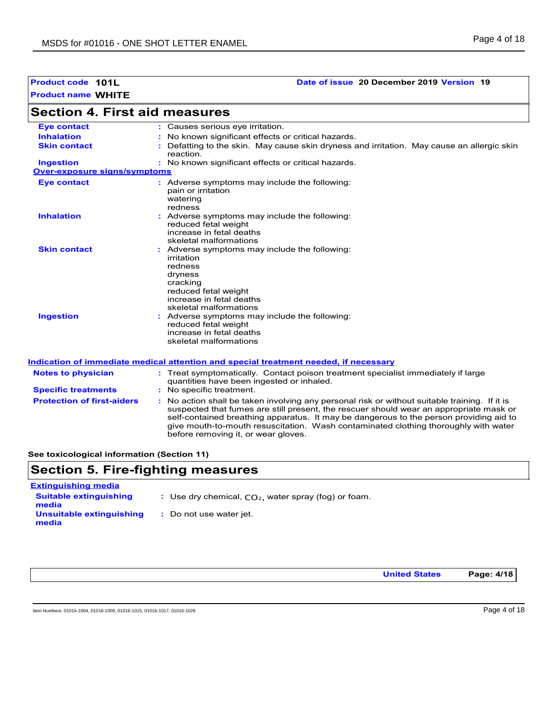### **Product code 101L Date of issue 20 December 2019 Version 19**

| <b>Section 4. First aid measures</b> |                                                                                                                                                                           |  |  |
|--------------------------------------|---------------------------------------------------------------------------------------------------------------------------------------------------------------------------|--|--|
| <b>Eye contact</b>                   | : Causes serious eye irritation.                                                                                                                                          |  |  |
| <b>Inhalation</b>                    | No known significant effects or critical hazards.                                                                                                                         |  |  |
| <b>Skin contact</b>                  | Defatting to the skin. May cause skin dryness and irritation. May cause an allergic skin<br>reaction.                                                                     |  |  |
| <b>Ingestion</b>                     | : No known significant effects or critical hazards.                                                                                                                       |  |  |
| <b>Over-exposure signs/symptoms</b>  |                                                                                                                                                                           |  |  |
| <b>Eye contact</b>                   | : Adverse symptoms may include the following:<br>pain or irritation<br>watering<br>redness                                                                                |  |  |
| <b>Inhalation</b>                    | : Adverse symptoms may include the following:<br>reduced fetal weight<br>increase in fetal deaths<br>skeletal malformations                                               |  |  |
| <b>Skin contact</b>                  | Adverse symptoms may include the following:<br>irritation<br>redness<br>dryness<br>cracking<br>reduced fetal weight<br>increase in fetal deaths<br>skeletal malformations |  |  |
| <b>Ingestion</b>                     | Adverse symptoms may include the following:<br>reduced fetal weight<br>increase in fetal deaths<br>skeletal malformations                                                 |  |  |
|                                      | Indication of immediate medical attention and special treatment needed, if necessary                                                                                      |  |  |
| <b>Notes to physician</b>            | : Treat symptomatically. Contact poison treatment specialist immediately if large<br>quantities have been ingested or inhaled.                                            |  |  |
| <b>Specific treatments</b>           | : No specific treatment.                                                                                                                                                  |  |  |

**Protection of first-aiders :** No action shall be taken involving any personal risk or without suitable training. If it is suspected that fumes are still present, the rescuer should wear an appropriate mask or self-contained breathing apparatus. It may be dangerous to the person providing aid to give mouth-to-mouth resuscitation. Wash contaminated clothing thoroughly with water before removing it, or wear gloves.

**See toxicological information (Section 11)**

### **Section 5. Fire-fighting measures** g) or foam. **Extinguishing media**

| <b>Suitable extinguishing</b><br>media | : Use dry chemical, $CO2$ , water spray (for |
|----------------------------------------|----------------------------------------------|
| Unsuitable extinguishing<br>media      | : Do not use water jet.                      |

**United States Page: 4/18**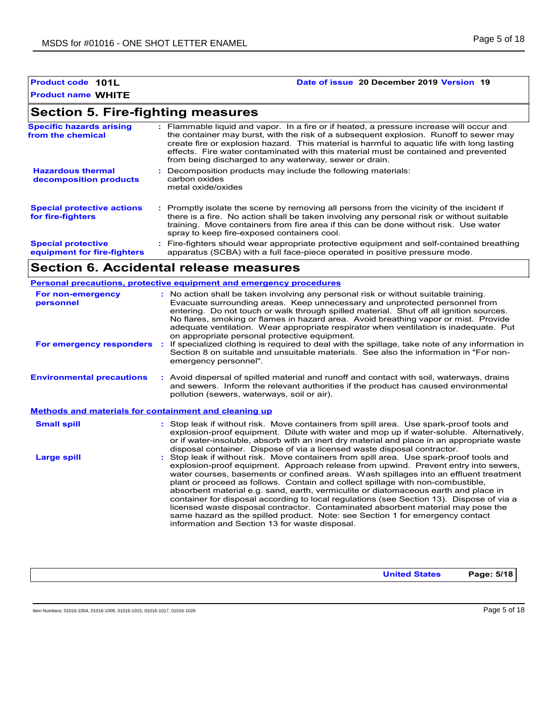#### **Product code 101L Date of issue 20 December 2019 Version 19**

# **Section 5. Fire-fighting measures**

| <b>Specific hazards arising</b><br>from the chemical     | : Flammable liquid and vapor. In a fire or if heated, a pressure increase will occur and<br>the container may burst, with the risk of a subsequent explosion. Runoff to sewer may<br>create fire or explosion hazard. This material is harmful to aquatic life with long lasting<br>effects. Fire water contaminated with this material must be contained and prevented<br>from being discharged to any waterway, sewer or drain. |
|----------------------------------------------------------|-----------------------------------------------------------------------------------------------------------------------------------------------------------------------------------------------------------------------------------------------------------------------------------------------------------------------------------------------------------------------------------------------------------------------------------|
| <b>Hazardous thermal</b><br>decomposition products       | : Decomposition products may include the following materials:<br>carbon oxides<br>metal oxide/oxides                                                                                                                                                                                                                                                                                                                              |
| <b>Special protective actions</b><br>for fire-fighters   | : Promptly isolate the scene by removing all persons from the vicinity of the incident if<br>there is a fire. No action shall be taken involving any personal risk or without suitable<br>training. Move containers from fire area if this can be done without risk. Use water<br>spray to keep fire-exposed containers cool.                                                                                                     |
| <b>Special protective</b><br>equipment for fire-fighters | Fire-fighters should wear appropriate protective equipment and self-contained breathing<br>apparatus (SCBA) with a full face-piece operated in positive pressure mode.                                                                                                                                                                                                                                                            |

# **Section 6. Accidental release measures**

|                                                              | Personal precautions, protective equipment and emergency procedures                                                                                                                                                                                                                                                                                                                                                                                                                                                                                                                                                                                                                                                                                                |
|--------------------------------------------------------------|--------------------------------------------------------------------------------------------------------------------------------------------------------------------------------------------------------------------------------------------------------------------------------------------------------------------------------------------------------------------------------------------------------------------------------------------------------------------------------------------------------------------------------------------------------------------------------------------------------------------------------------------------------------------------------------------------------------------------------------------------------------------|
| For non-emergency<br>personnel                               | : No action shall be taken involving any personal risk or without suitable training.<br>Evacuate surrounding areas. Keep unnecessary and unprotected personnel from<br>entering. Do not touch or walk through spilled material. Shut off all ignition sources.<br>No flares, smoking or flames in hazard area. Avoid breathing vapor or mist. Provide<br>adequate ventilation. Wear appropriate respirator when ventilation is inadequate. Put<br>on appropriate personal protective equipment.                                                                                                                                                                                                                                                                    |
| For emergency responders                                     | If specialized clothing is required to deal with the spillage, take note of any information in<br>Section 8 on suitable and unsuitable materials. See also the information in "For non-<br>emergency personnel".                                                                                                                                                                                                                                                                                                                                                                                                                                                                                                                                                   |
| <b>Environmental precautions</b>                             | : Avoid dispersal of spilled material and runoff and contact with soil, waterways, drains<br>and sewers. Inform the relevant authorities if the product has caused environmental<br>pollution (sewers, waterways, soil or air).                                                                                                                                                                                                                                                                                                                                                                                                                                                                                                                                    |
| <b>Methods and materials for containment and cleaning up</b> |                                                                                                                                                                                                                                                                                                                                                                                                                                                                                                                                                                                                                                                                                                                                                                    |
| <b>Small spill</b>                                           | Stop leak if without risk. Move containers from spill area. Use spark-proof tools and<br>explosion-proof equipment. Dilute with water and mop up if water-soluble. Alternatively,<br>or if water-insoluble, absorb with an inert dry material and place in an appropriate waste<br>disposal container. Dispose of via a licensed waste disposal contractor.                                                                                                                                                                                                                                                                                                                                                                                                        |
| <b>Large spill</b>                                           | Stop leak if without risk. Move containers from spill area. Use spark-proof tools and<br>explosion-proof equipment. Approach release from upwind. Prevent entry into sewers,<br>water courses, basements or confined areas. Wash spillages into an effluent treatment<br>plant or proceed as follows. Contain and collect spillage with non-combustible.<br>absorbent material e.g. sand, earth, vermiculite or diatomaceous earth and place in<br>container for disposal according to local regulations (see Section 13). Dispose of via a<br>licensed waste disposal contractor. Contaminated absorbent material may pose the<br>same hazard as the spilled product. Note: see Section 1 for emergency contact<br>information and Section 13 for waste disposal. |

**United States Page: 5/18**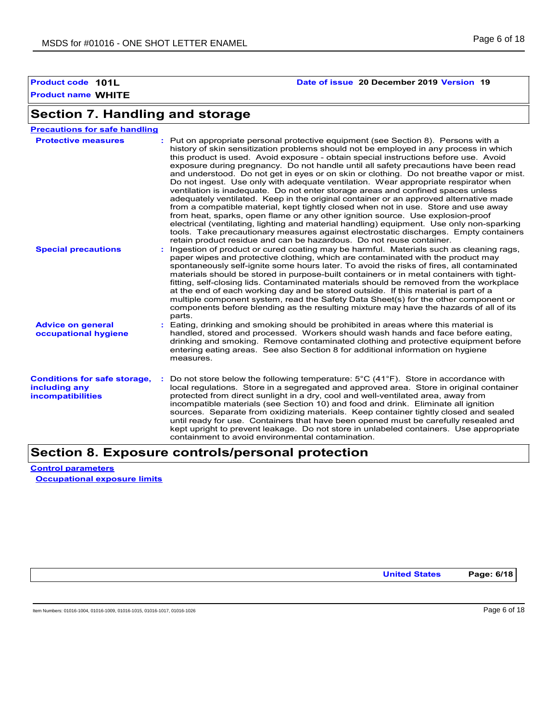## **Section 7. Handling and storage**

| <b>Precautions for safe handling</b>                                             |                                                                                                                                                                                                                                                                                                                                                                                                                                                                                                                                                                                                                                                                                                                                                                                                                                                                                                                                                                                                                                                                                                                                                                     |
|----------------------------------------------------------------------------------|---------------------------------------------------------------------------------------------------------------------------------------------------------------------------------------------------------------------------------------------------------------------------------------------------------------------------------------------------------------------------------------------------------------------------------------------------------------------------------------------------------------------------------------------------------------------------------------------------------------------------------------------------------------------------------------------------------------------------------------------------------------------------------------------------------------------------------------------------------------------------------------------------------------------------------------------------------------------------------------------------------------------------------------------------------------------------------------------------------------------------------------------------------------------|
| <b>Protective measures</b>                                                       | : Put on appropriate personal protective equipment (see Section 8). Persons with a<br>history of skin sensitization problems should not be employed in any process in which<br>this product is used. Avoid exposure - obtain special instructions before use. Avoid<br>exposure during pregnancy. Do not handle until all safety precautions have been read<br>and understood. Do not get in eyes or on skin or clothing. Do not breathe vapor or mist.<br>Do not ingest. Use only with adequate ventilation. Wear appropriate respirator when<br>ventilation is inadequate. Do not enter storage areas and confined spaces unless<br>adequately ventilated. Keep in the original container or an approved alternative made<br>from a compatible material, kept tightly closed when not in use. Store and use away<br>from heat, sparks, open flame or any other ignition source. Use explosion-proof<br>electrical (ventilating, lighting and material handling) equipment. Use only non-sparking<br>tools. Take precautionary measures against electrostatic discharges. Empty containers<br>retain product residue and can be hazardous. Do not reuse container. |
| <b>Special precautions</b>                                                       | Ingestion of product or cured coating may be harmful. Materials such as cleaning rags,<br>paper wipes and protective clothing, which are contaminated with the product may<br>spontaneously self-ignite some hours later. To avoid the risks of fires, all contaminated<br>materials should be stored in purpose-built containers or in metal containers with tight-<br>fitting, self-closing lids. Contaminated materials should be removed from the workplace<br>at the end of each working day and be stored outside. If this material is part of a<br>multiple component system, read the Safety Data Sheet(s) for the other component or<br>components before blending as the resulting mixture may have the hazards of all of its<br>parts.                                                                                                                                                                                                                                                                                                                                                                                                                   |
| <b>Advice on general</b><br>occupational hygiene                                 | Eating, drinking and smoking should be prohibited in areas where this material is<br>handled, stored and processed. Workers should wash hands and face before eating,<br>drinking and smoking. Remove contaminated clothing and protective equipment before<br>entering eating areas. See also Section 8 for additional information on hygiene<br>measures.                                                                                                                                                                                                                                                                                                                                                                                                                                                                                                                                                                                                                                                                                                                                                                                                         |
| <b>Conditions for safe storage,</b><br>including any<br><b>incompatibilities</b> | Do not store below the following temperature: $5^{\circ}$ C (41 $^{\circ}$ F). Store in accordance with<br>local regulations. Store in a segregated and approved area. Store in original container<br>protected from direct sunlight in a dry, cool and well-ventilated area, away from<br>incompatible materials (see Section 10) and food and drink. Eliminate all ignition<br>sources. Separate from oxidizing materials. Keep container tightly closed and sealed<br>until ready for use. Containers that have been opened must be carefully resealed and<br>kept upright to prevent leakage. Do not store in unlabeled containers. Use appropriate<br>containment to avoid environmental contamination.                                                                                                                                                                                                                                                                                                                                                                                                                                                        |

# **Section 8. Exposure controls/personal protection**

**Control parameters Occupational exposure limits**

**United States Page: 6/18**

**Product code 101L Date of issue 20 December 2019 Version 19**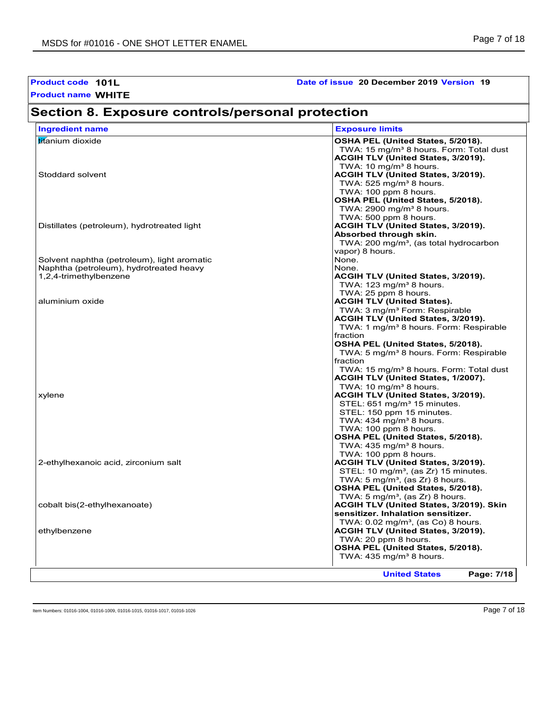| Date of issue 20 December 2019 Version 19                    |  |  |  |  |
|--------------------------------------------------------------|--|--|--|--|
|                                                              |  |  |  |  |
| Section 8. Exposure controls/personal protection             |  |  |  |  |
| <b>Exposure limits</b>                                       |  |  |  |  |
| OSHA PEL (United States, 5/2018).                            |  |  |  |  |
| TWA: 15 mg/m <sup>3</sup> 8 hours. Form: Total dust          |  |  |  |  |
| ACGIH TLV (United States, 3/2019).                           |  |  |  |  |
| TWA: 10 mg/m <sup>3</sup> 8 hours.                           |  |  |  |  |
| ACGIH TLV (United States, 3/2019).                           |  |  |  |  |
| TWA: $525$ mg/m <sup>3</sup> 8 hours.                        |  |  |  |  |
| TWA: 100 ppm 8 hours.                                        |  |  |  |  |
| OSHA PEL (United States, 5/2018).                            |  |  |  |  |
| TWA: $2900 \text{ mg/m}^3$ 8 hours.<br>TWA: 500 ppm 8 hours. |  |  |  |  |
| ACGIH TLV (United States, 3/2019).                           |  |  |  |  |
| Absorbed through skin.                                       |  |  |  |  |
| TWA: 200 mg/m <sup>3</sup> , (as total hydrocarbon           |  |  |  |  |
| vapor) 8 hours.                                              |  |  |  |  |
| None.                                                        |  |  |  |  |
| None.                                                        |  |  |  |  |
| ACGIH TLV (United States, 3/2019).                           |  |  |  |  |
| TWA: $123 \text{ mg/m}^3$ 8 hours.                           |  |  |  |  |
| TWA: 25 ppm 8 hours.                                         |  |  |  |  |
| <b>ACGIH TLV (United States).</b>                            |  |  |  |  |
| TWA: 3 mg/m <sup>3</sup> Form: Respirable                    |  |  |  |  |
| ACGIH TLV (United States, 3/2019).                           |  |  |  |  |
| TWA: 1 mg/m <sup>3</sup> 8 hours. Form: Respirable           |  |  |  |  |
| fraction<br>OSHA PEL (United States, 5/2018).                |  |  |  |  |
| TWA: 5 mg/m <sup>3</sup> 8 hours. Form: Respirable           |  |  |  |  |
| fraction                                                     |  |  |  |  |
| TWA: 15 mg/m <sup>3</sup> 8 hours. Form: Total dust          |  |  |  |  |
| ACGIH TLV (United States, 1/2007).                           |  |  |  |  |
| TWA: 10 mg/m <sup>3</sup> 8 hours.                           |  |  |  |  |
| ACGIH TLV (United States, 3/2019).                           |  |  |  |  |
| STEL: 651 mg/m <sup>3</sup> 15 minutes.                      |  |  |  |  |
| STEL: 150 ppm 15 minutes.                                    |  |  |  |  |
| TWA: 434 mg/m <sup>3</sup> 8 hours.                          |  |  |  |  |
| TWA: 100 ppm 8 hours.                                        |  |  |  |  |
| OSHA PEL (United States, 5/2018).                            |  |  |  |  |
| TWA: $435 \text{ mg/m}^3$ 8 hours.<br>TWA: 100 ppm 8 hours.  |  |  |  |  |
| ACGIH TLV (United States, 3/2019).                           |  |  |  |  |
| STEL: 10 mg/m <sup>3</sup> , (as Zr) 15 minutes.             |  |  |  |  |
| TWA: 5 mg/m <sup>3</sup> , (as Zr) 8 hours.                  |  |  |  |  |
| OSHA PEL (United States, 5/2018).                            |  |  |  |  |
| TWA: 5 mg/m <sup>3</sup> , (as Zr) 8 hours.                  |  |  |  |  |
| ACGIH TLV (United States, 3/2019). Skin                      |  |  |  |  |
| sensitizer. Inhalation sensitizer.                           |  |  |  |  |
| TWA: $0.02$ mg/m <sup>3</sup> , (as Co) 8 hours.             |  |  |  |  |
| ACGIH TLV (United States, 3/2019).                           |  |  |  |  |
| TWA: 20 ppm 8 hours.                                         |  |  |  |  |
| OSHA PEL (United States, 5/2018).                            |  |  |  |  |
| TWA: $435 \text{ mg/m}^3$ 8 hours.                           |  |  |  |  |
| <b>United States</b><br>Page: 7/18                           |  |  |  |  |
|                                                              |  |  |  |  |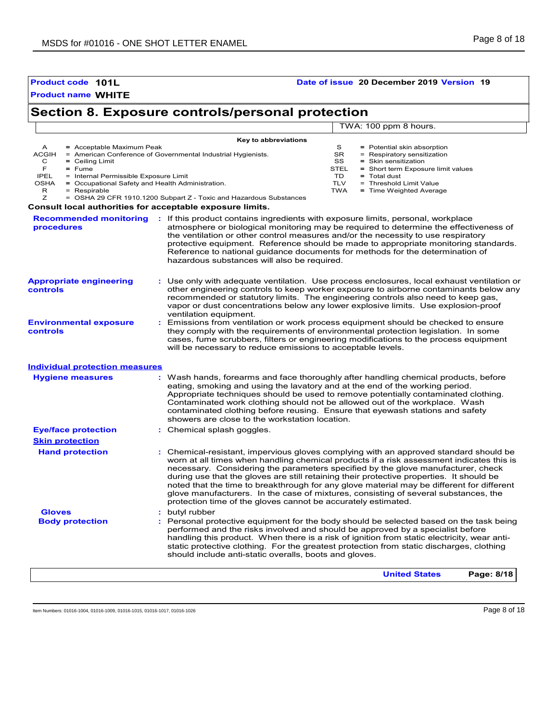#### **Product code 101L Date of issue 20 December 2019 Version 19**

# **Section 8. Exposure controls/personal protection**

|              |                                                  |                                                                    |             | TWA: 100 ppm 8 hours.                                                                                                                                                                                                                                                                                                                                       |
|--------------|--------------------------------------------------|--------------------------------------------------------------------|-------------|-------------------------------------------------------------------------------------------------------------------------------------------------------------------------------------------------------------------------------------------------------------------------------------------------------------------------------------------------------------|
|              |                                                  | Key to abbreviations                                               |             |                                                                                                                                                                                                                                                                                                                                                             |
| $\mathsf{A}$ | = Acceptable Maximum Peak                        |                                                                    | S           | = Potential skin absorption                                                                                                                                                                                                                                                                                                                                 |
| <b>ACGIH</b> |                                                  | = American Conference of Governmental Industrial Hygienists.       | SR.         | = Respiratory sensitization                                                                                                                                                                                                                                                                                                                                 |
| C            | $=$ Ceiling Limit                                |                                                                    | SS.         | $=$ Skin sensitization                                                                                                                                                                                                                                                                                                                                      |
| F            | $=$ Fume                                         |                                                                    | <b>STEL</b> | = Short term Exposure limit values                                                                                                                                                                                                                                                                                                                          |
| <b>IPEL</b>  | = Internal Permissible Exposure Limit            |                                                                    | TD.         | $=$ Total dust                                                                                                                                                                                                                                                                                                                                              |
| <b>OSHA</b>  | = Occupational Safety and Health Administration. |                                                                    | <b>TLV</b>  | = Threshold Limit Value                                                                                                                                                                                                                                                                                                                                     |
| R            | = Respirable                                     |                                                                    | <b>TWA</b>  | = Time Weighted Average                                                                                                                                                                                                                                                                                                                                     |
| Ζ            |                                                  | = OSHA 29 CFR 1910.1200 Subpart Z - Toxic and Hazardous Substances |             |                                                                                                                                                                                                                                                                                                                                                             |
|              |                                                  | Consult local authorities for acceptable exposure limits.          |             |                                                                                                                                                                                                                                                                                                                                                             |
|              |                                                  | hazardous substances will also be required.                        |             | the ventilation or other control measures and/or the necessity to use respiratory<br>protective equipment. Reference should be made to appropriate monitoring standards.<br>Reference to national guidance documents for methods for the determination of                                                                                                   |
| controls     | <b>Appropriate engineering</b>                   | ventilation equipment.                                             |             | Use only with adequate ventilation. Use process enclosures, local exhaust ventilation or<br>other engineering controls to keep worker exposure to airborne contaminants below any<br>recommended or statutory limits. The engineering controls also need to keep gas,<br>vapor or dust concentrations below any lower explosive limits. Use explosion-proof |
| controls     | <b>Environmental exposure</b>                    |                                                                    |             | Emissions from ventilation or work process equipment should be checked to ensure<br>they comply with the requirements of environmental protection legislation. In some<br>cases, fume scrubbers, filters or engineering modifications to the process equipment                                                                                              |

will be necessary to reduce emissions to acceptable levels.

#### **Individual protection measures**

| <b>Hygiene measures</b>    | : Wash hands, forearms and face thoroughly after handling chemical products, before<br>eating, smoking and using the lavatory and at the end of the working period.<br>Appropriate techniques should be used to remove potentially contaminated clothing.<br>Contaminated work clothing should not be allowed out of the workplace. Wash<br>contaminated clothing before reusing. Ensure that eyewash stations and safety<br>showers are close to the workstation location.                                                                                                                                            |
|----------------------------|------------------------------------------------------------------------------------------------------------------------------------------------------------------------------------------------------------------------------------------------------------------------------------------------------------------------------------------------------------------------------------------------------------------------------------------------------------------------------------------------------------------------------------------------------------------------------------------------------------------------|
| <b>Eye/face protection</b> | : Chemical splash goggles.                                                                                                                                                                                                                                                                                                                                                                                                                                                                                                                                                                                             |
| <b>Skin protection</b>     |                                                                                                                                                                                                                                                                                                                                                                                                                                                                                                                                                                                                                        |
| <b>Hand protection</b>     | : Chemical-resistant, impervious gloves complying with an approved standard should be<br>worn at all times when handling chemical products if a risk assessment indicates this is<br>necessary. Considering the parameters specified by the glove manufacturer, check<br>during use that the gloves are still retaining their protective properties. It should be<br>noted that the time to breakthrough for any glove material may be different for different<br>glove manufacturers. In the case of mixtures, consisting of several substances, the<br>protection time of the gloves cannot be accurately estimated. |
| <b>Gloves</b>              | : butyl rubber                                                                                                                                                                                                                                                                                                                                                                                                                                                                                                                                                                                                         |
| <b>Body protection</b>     | : Personal protective equipment for the body should be selected based on the task being<br>performed and the risks involved and should be approved by a specialist before<br>handling this product. When there is a risk of ignition from static electricity, wear anti-<br>static protective clothing. For the greatest protection from static discharges, clothing<br>should include anti-static overalls, boots and gloves.                                                                                                                                                                                         |

**United States Page: 8/18**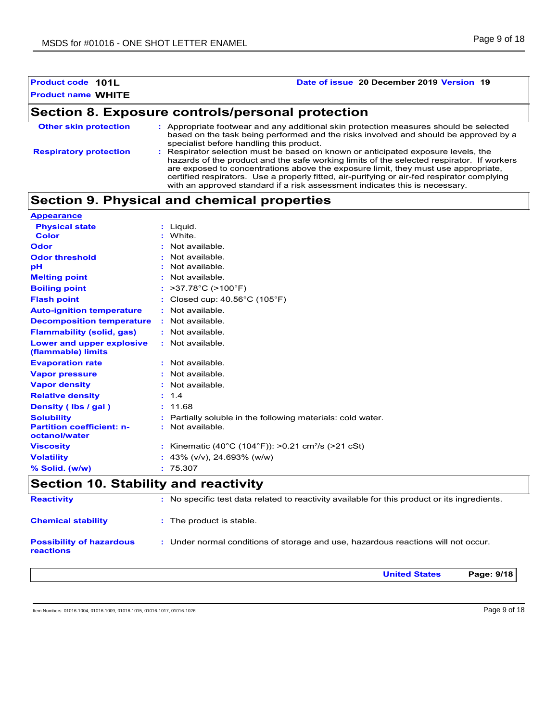| <b>Product code 101L</b>                        | Date of issue 20 December 2019 Version 19 |
|-------------------------------------------------|-------------------------------------------|
| <b>Product name WHITE</b>                       |                                           |
| Section & Exposure controls/personal protection |                                           |

### **Section 8. Exposure controls/personal protection**

| <b>Other skin protection</b>  | : Appropriate footwear and any additional skin protection measures should be selected<br>based on the task being performed and the risks involved and should be approved by a<br>specialist before handling this product.                                                                                                                                                                                                                          |
|-------------------------------|----------------------------------------------------------------------------------------------------------------------------------------------------------------------------------------------------------------------------------------------------------------------------------------------------------------------------------------------------------------------------------------------------------------------------------------------------|
| <b>Respiratory protection</b> | : Respirator selection must be based on known or anticipated exposure levels, the<br>hazards of the product and the safe working limits of the selected respirator. If workers<br>are exposed to concentrations above the exposure limit, they must use appropriate,<br>certified respirators. Use a properly fitted, air-purifying or air-fed respirator complying<br>with an approved standard if a risk assessment indicates this is necessary. |

# **Section 9. Physical and chemical properties**

| <b>Appearance</b>                                 |                                                                |
|---------------------------------------------------|----------------------------------------------------------------|
| <b>Physical state</b>                             | : Liquid.                                                      |
| <b>Color</b>                                      | : White.                                                       |
| <b>Odor</b>                                       | : Not available.                                               |
| <b>Odor threshold</b>                             | : Not available.                                               |
| рH                                                | : Not available.                                               |
| <b>Melting point</b>                              | : Not available.                                               |
| <b>Boiling point</b>                              | : $>37.78^{\circ}$ C ( $>100^{\circ}$ F)                       |
| <b>Flash point</b>                                | : Closed cup: 40.56°C (105°F)                                  |
| <b>Auto-ignition temperature</b>                  | : Not available.                                               |
| <b>Decomposition temperature</b>                  | : Not available.                                               |
| <b>Flammability (solid, gas)</b>                  | : Not available.                                               |
| Lower and upper explosive<br>(flammable) limits   | : Not available.                                               |
| <b>Evaporation rate</b>                           | $:$ Not available.                                             |
| <b>Vapor pressure</b>                             | : Not available.                                               |
| <b>Vapor density</b>                              | : Not available.                                               |
| <b>Relative density</b>                           | : 1.4                                                          |
| Density (Ibs / gal)                               | : 11.68                                                        |
| <b>Solubility</b>                                 | : Partially soluble in the following materials: cold water.    |
| <b>Partition coefficient: n-</b><br>octanol/water | : Not available.                                               |
| <b>Viscosity</b>                                  | : Kinematic (40°C (104°F)): >0.21 cm <sup>2</sup> /s (>21 cSt) |
| <b>Volatility</b>                                 | : 43% ( $v/v$ ), 24.693% ( $w/w$ )                             |
| $%$ Solid. (w/w)                                  | : 75.307                                                       |
| Continued C Ctabilities and speakings.            |                                                                |

### **Section 10. Stability and reactivity**

| <b>Reactivity</b>                                   | : No specific test data related to reactivity available for this product or its ingredients. |
|-----------------------------------------------------|----------------------------------------------------------------------------------------------|
| <b>Chemical stability</b>                           | : The product is stable.                                                                     |
| <b>Possibility of hazardous</b><br><b>reactions</b> | : Under normal conditions of storage and use, hazardous reactions will not occur.            |

Item Numbers: 01016-1004, 01016-1009, 01016-1015, 01016-1017, 01016-1026 Page 9 of 18

**United States Page: 9/18**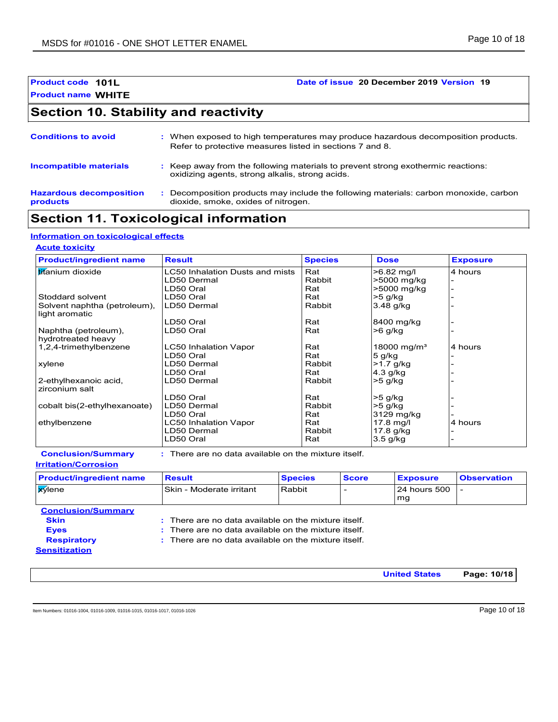### **Product code 101L Date of issue 20 December 2019 Version 19**

# **Section 10. Stability and reactivity**

| <b>Conditions to avoid</b>                 | : When exposed to high temperatures may produce hazardous decomposition products.<br>Refer to protective measures listed in sections 7 and 8. |
|--------------------------------------------|-----------------------------------------------------------------------------------------------------------------------------------------------|
| Incompatible materials                     | : Keep away from the following materials to prevent strong exothermic reactions:<br>oxidizing agents, strong alkalis, strong acids.           |
| <b>Hazardous decomposition</b><br>products | Decomposition products may include the following materials: carbon monoxide, carbon<br>dioxide, smoke, oxides of nitrogen.                    |

# **Section 11. Toxicological information**

#### **Information on toxicological effects**

#### **Acute toxicity**

| <b>Product/ingredient name</b>                 | <b>Result</b>                                        | <b>Species</b> | <b>Dose</b>             | <b>Exposure</b> |
|------------------------------------------------|------------------------------------------------------|----------------|-------------------------|-----------------|
| titanium dioxide                               | LC50 Inhalation Dusts and mists                      | Rat            | $>6.82$ mg/l            | 4 hours         |
|                                                | LD50 Dermal                                          | Rabbit         | >5000 mg/kg             |                 |
|                                                | LD50 Oral                                            | Rat            | >5000 mg/kg             |                 |
| Stoddard solvent                               | LD50 Oral                                            | Rat            | $>5$ q/kg               |                 |
| Solvent naphtha (petroleum),<br>light aromatic | LD50 Dermal                                          | Rabbit         | $3.48$ g/kg             |                 |
|                                                | LD50 Oral                                            | Rat            | 8400 mg/kg              |                 |
| Naphtha (petroleum),<br>hydrotreated heavy     | LD50 Oral                                            | Rat            | $>6$ g/kg               |                 |
| 1,2,4-trimethylbenzene                         | <b>LC50 Inhalation Vapor</b>                         | Rat            | 18000 mg/m <sup>3</sup> | 4 hours         |
|                                                | LD50 Oral                                            | Rat            | $5$ g/kg                |                 |
| xylene                                         | LD50 Dermal                                          | Rabbit         | $>1.7$ g/kg             |                 |
|                                                | LD50 Oral                                            | Rat            | 4.3 g/kg                |                 |
| 2-ethylhexanoic acid,<br>zirconium salt        | LD50 Dermal                                          | Rabbit         | $>5$ g/kg               |                 |
|                                                | LD50 Oral                                            | Rat            | $>5$ g/kg               |                 |
| cobalt bis(2-ethylhexanoate)                   | LD50 Dermal                                          | Rabbit         | $>5$ g/kg               |                 |
|                                                | LD50 Oral                                            | Rat            | 3129 mg/kg              |                 |
| ethylbenzene                                   | LC50 Inhalation Vapor                                | Rat            | $17.8$ mg/l             | 4 hours         |
|                                                | LD50 Dermal                                          | Rabbit         | 17.8 g/kg               |                 |
|                                                | LD50 Oral                                            | Rat            | $3.5$ g/kg              |                 |
| <b>Conclusion/Summary</b>                      | : There are no data available on the mixture itself. |                |                         |                 |

**Irritation/Corrosion**

There are no data available on the mixture itself.

| <b>Product/ingredient name</b> | <b>Result</b>                                            | <b>Species</b> | <b>Score</b> | <b>Exposure</b>    | <b>Observation</b> |  |  |
|--------------------------------|----------------------------------------------------------|----------------|--------------|--------------------|--------------------|--|--|
| <b>X</b> ylene                 | Skin - Moderate irritant                                 | Rabbit         |              | 24 hours 500<br>mg |                    |  |  |
| <b>Conclusion/Summary</b>      |                                                          |                |              |                    |                    |  |  |
| <b>Skin</b>                    | : There are no data available on the mixture itself.     |                |              |                    |                    |  |  |
| <b>Eyes</b>                    | $\pm$ There are no data available on the mixture itself. |                |              |                    |                    |  |  |
| <b>Respiratory</b>             | $\pm$ There are no data available on the mixture itself. |                |              |                    |                    |  |  |
| <b>Sensitization</b>           |                                                          |                |              |                    |                    |  |  |

**United States Page: 10/18**

Item Numbers: 01016-1004, 01016-1009, 01016-1015, 01016-1017, 01016-1026 **Page 10 of 18** Page 10 of 18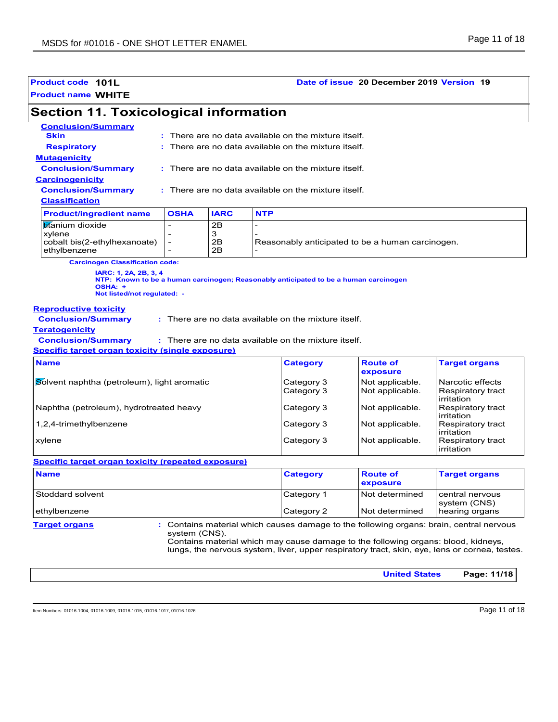#### **Product name WHITE Product code 101L Date of issue 20 December 2019 Version 19 Section 11. Toxicological information Carcinogenicity Conclusion/Summary : Mutagenicity Conclusion/Summary : Teratogenicity Conclusion/Summary : Reproductive toxicity Conclusion/Summary : Conclusion/Summary Skin Example 20 EXEC 2018 :** There are no data available on the mixture itself. **Respiratory : Specific target organ toxicity (single exposure) Classification Example 1**<br>  $\begin{array}{ccc}\n\text{if } \mathsf{X} \text{ is } \mathsf{X} \text{ is } \mathsf{X} \text{ is } \mathsf{X} \text{ is } \mathsf{X} \text{ is } \mathsf{X} \text{ is } \mathsf{X} \text{ is } \mathsf{X} \text{ is } \mathsf{X} \text{ is } \mathsf{X} \text{ is } \mathsf{X} \text{ is } \mathsf{X} \text{ is } \mathsf{X} \text{ is } \mathsf{X} \text{ is } \mathsf{X} \text{ is } \mathsf{X} \text{ is } \mathsf{X} \text{ is } \mathsf{X} \$ ethylbenzene **Product/ingredient name OSHA IARC NTP Carcinogen Classification code: IARC: 1, 2A, 2B, 3, 4 NTP: Known to be a human carcinogen; Reasonably anticipated to be a human carcinogen OSHA: + Not listed/not regulated: -** There are no data available on the mixture itself. There are no data available on the mixture itself. There are no data available on the mixture itself. There are no data available on the mixture itself. There are no data available on the mixture itself. **Specific target organ toxicity (repeated exposure) Target organs :** Contains material which causes damage to the following organs: brain, central nervous system (CNS). Contains material which may cause damage to the following organs: blood, kidneys, lungs, the nervous system, liver, upper respiratory tract, skin, eye, lens or cornea, testes. **Name** Solvent naphtha (petroleum), light aromatic Category 3 Not applicable. Narcotic effects Respiratory tract irritation<br>Respiratory tract Naphtha (petroleum), hydrotreated heavy  $\vert$ Category 3  $\vert$  Not applicable. irritation<br>Respiratory tract 1,2,4-trimethylbenzene Category 3 Not applicable. irritation xylene Category 3 Not applicable. Respiratory tract irritation **Category Route of exposure Target organs Name Category** Stoddard solvent **Category 1** Not determined central nervous system (CNS) ethylbenzene Category 2 Not determined hearing organs **Route of exposure Target organs United States Page: 11/18**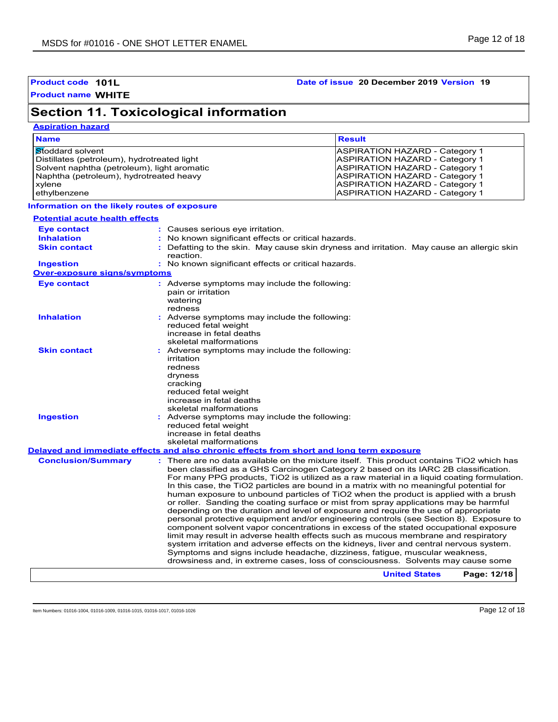### **Product code 101L Date of issue 20 December 2019 Version 19**

# **Section 11. Toxicological information**

|  | <b>Aspiration hazard</b> |
|--|--------------------------|
|  |                          |

| <b>Name</b>                                                                                                                                                                         |                                                                                                                                                                             | <b>Result</b>                                                                                                                                                                                                                                                                                                                                                                                                                                                                                                                                                                                                                                                                                                                                                                                                                                                                                                                                                                                                                                                                                                                                                                          |
|-------------------------------------------------------------------------------------------------------------------------------------------------------------------------------------|-----------------------------------------------------------------------------------------------------------------------------------------------------------------------------|----------------------------------------------------------------------------------------------------------------------------------------------------------------------------------------------------------------------------------------------------------------------------------------------------------------------------------------------------------------------------------------------------------------------------------------------------------------------------------------------------------------------------------------------------------------------------------------------------------------------------------------------------------------------------------------------------------------------------------------------------------------------------------------------------------------------------------------------------------------------------------------------------------------------------------------------------------------------------------------------------------------------------------------------------------------------------------------------------------------------------------------------------------------------------------------|
| Stoddard solvent<br>Distillates (petroleum), hydrotreated light<br>Solvent naphtha (petroleum), light aromatic<br>Naphtha (petroleum), hydrotreated heavy<br>xylene<br>ethylbenzene |                                                                                                                                                                             | <b>ASPIRATION HAZARD - Category 1</b><br><b>ASPIRATION HAZARD - Category 1</b><br><b>ASPIRATION HAZARD - Category 1</b><br>ASPIRATION HAZARD - Category 1<br><b>ASPIRATION HAZARD - Category 1</b><br>ASPIRATION HAZARD - Category 1                                                                                                                                                                                                                                                                                                                                                                                                                                                                                                                                                                                                                                                                                                                                                                                                                                                                                                                                                   |
| Information on the likely routes of exposure                                                                                                                                        |                                                                                                                                                                             |                                                                                                                                                                                                                                                                                                                                                                                                                                                                                                                                                                                                                                                                                                                                                                                                                                                                                                                                                                                                                                                                                                                                                                                        |
| <b>Potential acute health effects</b>                                                                                                                                               |                                                                                                                                                                             |                                                                                                                                                                                                                                                                                                                                                                                                                                                                                                                                                                                                                                                                                                                                                                                                                                                                                                                                                                                                                                                                                                                                                                                        |
| <b>Eye contact</b>                                                                                                                                                                  | Causes serious eye irritation.                                                                                                                                              |                                                                                                                                                                                                                                                                                                                                                                                                                                                                                                                                                                                                                                                                                                                                                                                                                                                                                                                                                                                                                                                                                                                                                                                        |
| <b>Inhalation</b>                                                                                                                                                                   | No known significant effects or critical hazards.                                                                                                                           |                                                                                                                                                                                                                                                                                                                                                                                                                                                                                                                                                                                                                                                                                                                                                                                                                                                                                                                                                                                                                                                                                                                                                                                        |
| <b>Skin contact</b>                                                                                                                                                                 | reaction.                                                                                                                                                                   | Defatting to the skin. May cause skin dryness and irritation. May cause an allergic skin                                                                                                                                                                                                                                                                                                                                                                                                                                                                                                                                                                                                                                                                                                                                                                                                                                                                                                                                                                                                                                                                                               |
| <b>Ingestion</b>                                                                                                                                                                    | : No known significant effects or critical hazards.                                                                                                                         |                                                                                                                                                                                                                                                                                                                                                                                                                                                                                                                                                                                                                                                                                                                                                                                                                                                                                                                                                                                                                                                                                                                                                                                        |
| <b>Over-exposure signs/symptoms</b>                                                                                                                                                 |                                                                                                                                                                             |                                                                                                                                                                                                                                                                                                                                                                                                                                                                                                                                                                                                                                                                                                                                                                                                                                                                                                                                                                                                                                                                                                                                                                                        |
| <b>Eye contact</b>                                                                                                                                                                  | : Adverse symptoms may include the following:<br>pain or irritation<br>watering<br>redness                                                                                  |                                                                                                                                                                                                                                                                                                                                                                                                                                                                                                                                                                                                                                                                                                                                                                                                                                                                                                                                                                                                                                                                                                                                                                                        |
| <b>Inhalation</b>                                                                                                                                                                   | : Adverse symptoms may include the following:<br>reduced fetal weight<br>increase in fetal deaths<br>skeletal malformations                                                 |                                                                                                                                                                                                                                                                                                                                                                                                                                                                                                                                                                                                                                                                                                                                                                                                                                                                                                                                                                                                                                                                                                                                                                                        |
| <b>Skin contact</b>                                                                                                                                                                 | : Adverse symptoms may include the following:<br>irritation<br>redness<br>dryness<br>cracking<br>reduced fetal weight<br>increase in fetal deaths<br>skeletal malformations |                                                                                                                                                                                                                                                                                                                                                                                                                                                                                                                                                                                                                                                                                                                                                                                                                                                                                                                                                                                                                                                                                                                                                                                        |
| <b>Ingestion</b>                                                                                                                                                                    | Adverse symptoms may include the following:<br>reduced fetal weight<br>increase in fetal deaths<br>skeletal malformations                                                   |                                                                                                                                                                                                                                                                                                                                                                                                                                                                                                                                                                                                                                                                                                                                                                                                                                                                                                                                                                                                                                                                                                                                                                                        |
|                                                                                                                                                                                     | Delayed and immediate effects and also chronic effects from short and long term exposure                                                                                    |                                                                                                                                                                                                                                                                                                                                                                                                                                                                                                                                                                                                                                                                                                                                                                                                                                                                                                                                                                                                                                                                                                                                                                                        |
| <b>Conclusion/Summary</b>                                                                                                                                                           |                                                                                                                                                                             | : There are no data available on the mixture itself. This product contains TiO2 which has<br>been classified as a GHS Carcinogen Category 2 based on its IARC 2B classification.<br>For many PPG products, TiO2 is utilized as a raw material in a liquid coating formulation.<br>In this case, the TiO2 particles are bound in a matrix with no meaningful potential for<br>human exposure to unbound particles of TiO2 when the product is applied with a brush<br>or roller. Sanding the coating surface or mist from spray applications may be harmful<br>depending on the duration and level of exposure and require the use of appropriate<br>personal protective equipment and/or engineering controls (see Section 8). Exposure to<br>component solvent vapor concentrations in excess of the stated occupational exposure<br>limit may result in adverse health effects such as mucous membrane and respiratory<br>system irritation and adverse effects on the kidneys, liver and central nervous system.<br>Symptoms and signs include headache, dizziness, fatigue, muscular weakness,<br>drowsiness and, in extreme cases, loss of consciousness. Solvents may cause some |
|                                                                                                                                                                                     |                                                                                                                                                                             | <b>United States</b><br>Page: 12/18                                                                                                                                                                                                                                                                                                                                                                                                                                                                                                                                                                                                                                                                                                                                                                                                                                                                                                                                                                                                                                                                                                                                                    |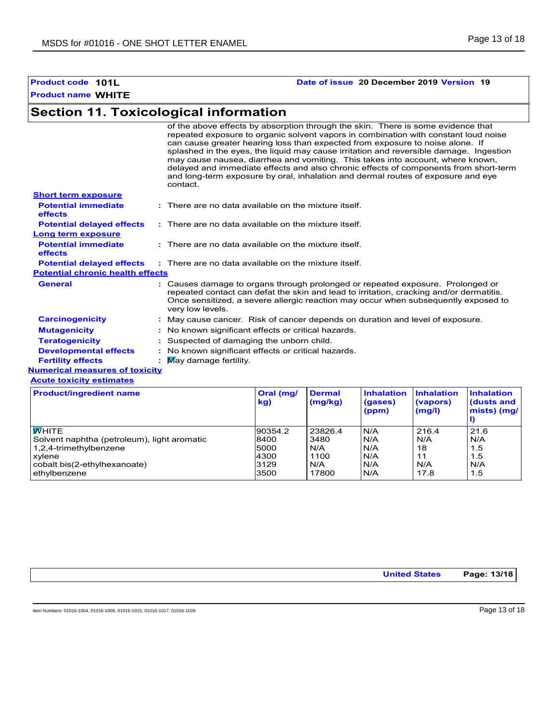#### **Product code 101L Date of issue 20 December 2019 Version 19**

# **Section 11. Toxicological information**

|                                              | of the above effects by absorption through the skin. There is some evidence that<br>repeated exposure to organic solvent vapors in combination with constant loud noise<br>can cause greater hearing loss than expected from exposure to noise alone. If<br>splashed in the eyes, the liquid may cause irritation and reversible damage. Ingestion<br>may cause nausea, diarrhea and vomiting. This takes into account, where known,<br>delayed and immediate effects and also chronic effects of components from short-term<br>and long-term exposure by oral, inhalation and dermal routes of exposure and eye<br>contact. |
|----------------------------------------------|------------------------------------------------------------------------------------------------------------------------------------------------------------------------------------------------------------------------------------------------------------------------------------------------------------------------------------------------------------------------------------------------------------------------------------------------------------------------------------------------------------------------------------------------------------------------------------------------------------------------------|
| <b>Short term exposure</b>                   |                                                                                                                                                                                                                                                                                                                                                                                                                                                                                                                                                                                                                              |
| <b>Potential immediate</b><br><b>effects</b> | $\therefore$ There are no data available on the mixture itself.                                                                                                                                                                                                                                                                                                                                                                                                                                                                                                                                                              |
| <b>Potential delayed effects</b>             | : There are no data available on the mixture itself.                                                                                                                                                                                                                                                                                                                                                                                                                                                                                                                                                                         |
| <b>Long term exposure</b>                    |                                                                                                                                                                                                                                                                                                                                                                                                                                                                                                                                                                                                                              |
| <b>Potential immediate</b><br><b>effects</b> | : There are no data available on the mixture itself.                                                                                                                                                                                                                                                                                                                                                                                                                                                                                                                                                                         |
| <b>Potential delayed effects</b>             | $\pm$ There are no data available on the mixture itself.                                                                                                                                                                                                                                                                                                                                                                                                                                                                                                                                                                     |
| <b>Potential chronic health effects</b>      |                                                                                                                                                                                                                                                                                                                                                                                                                                                                                                                                                                                                                              |
| <b>General</b>                               | : Causes damage to organs through prolonged or repeated exposure. Prolonged or<br>repeated contact can defat the skin and lead to irritation, cracking and/or dermatitis.<br>Once sensitized, a severe allergic reaction may occur when subsequently exposed to<br>very low levels.                                                                                                                                                                                                                                                                                                                                          |
| <b>Carcinogenicity</b>                       | : May cause cancer. Risk of cancer depends on duration and level of exposure.                                                                                                                                                                                                                                                                                                                                                                                                                                                                                                                                                |
| <b>Mutagenicity</b>                          | : No known significant effects or critical hazards.                                                                                                                                                                                                                                                                                                                                                                                                                                                                                                                                                                          |
| <b>Teratogenicity</b>                        | : Suspected of damaging the unborn child.                                                                                                                                                                                                                                                                                                                                                                                                                                                                                                                                                                                    |
| <b>Developmental effects</b>                 | : No known significant effects or critical hazards.                                                                                                                                                                                                                                                                                                                                                                                                                                                                                                                                                                          |
| <b>Fertility effects</b>                     | $\blacksquare$ May damage fertility.                                                                                                                                                                                                                                                                                                                                                                                                                                                                                                                                                                                         |
| <b>Numerical measures of toxicity</b>        |                                                                                                                                                                                                                                                                                                                                                                                                                                                                                                                                                                                                                              |
| <b>Acute toxicity estimates</b>              |                                                                                                                                                                                                                                                                                                                                                                                                                                                                                                                                                                                                                              |

| <b>Product/ingredient name</b>              | Oral (mg/<br>kg) | <b>Dermal</b><br>(mg/kg) | <b>Inhalation</b><br>(gases)<br>(ppm) | <b>Inhalation</b><br>(vapors)<br>(mg/l) | <b>Inhalation</b><br>(dusts and<br>mists) (mg/ |
|---------------------------------------------|------------------|--------------------------|---------------------------------------|-----------------------------------------|------------------------------------------------|
| <b>WHITE</b>                                | 90354.2          | 23826.4                  | N/A                                   | 216.4                                   | 21.6                                           |
| Solvent naphtha (petroleum), light aromatic | 8400             | 3480                     | N/A                                   | N/A                                     | N/A                                            |
| 1,2,4-trimethylbenzene                      | 5000             | N/A                      | N/A                                   | 18                                      | 1.5                                            |
| xylene                                      | 4300             | 1100                     | N/A                                   | 11                                      | 1.5                                            |
| cobalt bis(2-ethylhexanoate)                | 3129             | N/A                      | N/A                                   | N/A                                     | N/A                                            |
| ethylbenzene                                | 3500             | 17800                    | N/A                                   | 17.8                                    | 1.5                                            |

**United States Page: 13/18**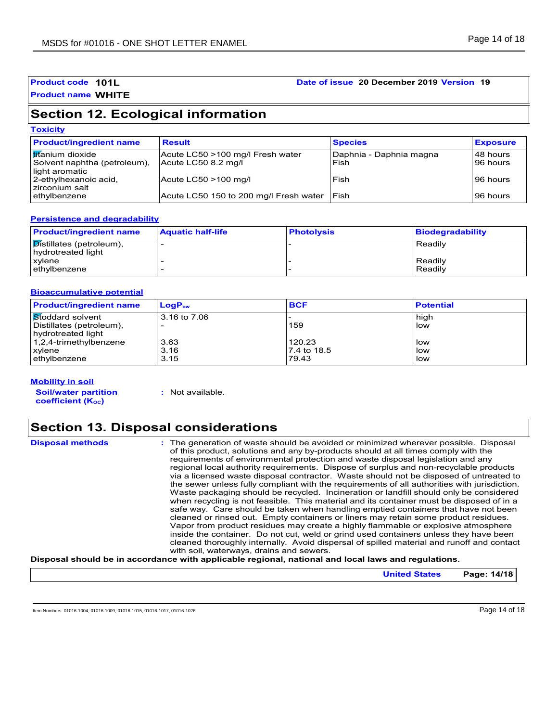#### **Product code 101L Date of issue 20 December 2019 Version 19**

**Product name WHITE**

# **Section 12. Ecological information**

| <b>Toxicity</b>                                                             |                                                         |                                 |                          |
|-----------------------------------------------------------------------------|---------------------------------------------------------|---------------------------------|--------------------------|
| <b>Product/ingredient name</b>                                              | <b>Result</b>                                           | <b>Species</b>                  | <b>Exposure</b>          |
| <b>Itit</b> anium dioxide<br>Solvent naphtha (petroleum),<br>light aromatic | Acute LC50 >100 mg/l Fresh water<br>Acute LC50 8.2 mg/l | Daphnia - Daphnia magna<br>Fish | l 48 hours<br>l 96 hours |
| 2-ethylhexanoic acid,<br>zirconium salt                                     | Acute LC50 >100 mg/l                                    | Fish                            | l 96 hours               |
| ethylbenzene                                                                | Acute LC50 150 to 200 mg/l Fresh water                  | l Fish                          | l 96 hours               |

#### **Persistence and degradability**

| <b>Product/ingredient name</b>                                         | <b>Aquatic half-life</b> | <b>Photolysis</b> | Biodegradability |
|------------------------------------------------------------------------|--------------------------|-------------------|------------------|
| $\mathcal{\overline{D}}$ istillates (petroleum),<br>hydrotreated light |                          |                   | Readily          |
| xvlene                                                                 |                          |                   | Readily          |
| ethylbenzene                                                           |                          |                   | Readily          |

#### **Bioaccumulative potential**

| <b>Product/ingredient name</b> | $\mathsf{LogP}_\mathsf{ow}$ | <b>BCF</b>  | <b>Potential</b> |
|--------------------------------|-----------------------------|-------------|------------------|
| Stoddard solvent               | 3.16 to 7.06                |             | high             |
| Distillates (petroleum),       |                             | 159         | low              |
| hydrotreated light             |                             |             |                  |
| 1,2,4-trimethylbenzene         | 3.63                        | 120.23      | low              |
| xvlene                         | 3.16                        | 7.4 to 18.5 | low              |
| ethylbenzene                   | 3.15                        | 79.43       | low              |

#### **Mobility in soil**

**Soil/water partition coefficient (KOC)**

**:** Not available.

# **Section 13. Disposal considerations**

| <b>Disposal methods</b> | The generation of waste should be avoided or minimized wherever possible. Disposal<br>of this product, solutions and any by-products should at all times comply with the<br>requirements of environmental protection and waste disposal legislation and any<br>regional local authority reguirements. Dispose of surplus and non-recyclable products<br>via a licensed waste disposal contractor. Waste should not be disposed of untreated to<br>the sewer unless fully compliant with the requirements of all authorities with jurisdiction.<br>Waste packaging should be recycled. Incineration or landfill should only be considered<br>when recycling is not feasible. This material and its container must be disposed of in a<br>safe way. Care should be taken when handling emptied containers that have not been<br>cleaned or rinsed out. Empty containers or liners may retain some product residues.<br>Vapor from product residues may create a highly flammable or explosive atmosphere<br>inside the container. Do not cut, weld or grind used containers unless they have been<br>cleaned thoroughly internally. Avoid dispersal of spilled material and runoff and contact<br>with soil, waterways, drains and sewers. |
|-------------------------|------------------------------------------------------------------------------------------------------------------------------------------------------------------------------------------------------------------------------------------------------------------------------------------------------------------------------------------------------------------------------------------------------------------------------------------------------------------------------------------------------------------------------------------------------------------------------------------------------------------------------------------------------------------------------------------------------------------------------------------------------------------------------------------------------------------------------------------------------------------------------------------------------------------------------------------------------------------------------------------------------------------------------------------------------------------------------------------------------------------------------------------------------------------------------------------------------------------------------------------|
|                         | Disposal should be in accordance with applicable regional, patienal and local laws and requisions                                                                                                                                                                                                                                                                                                                                                                                                                                                                                                                                                                                                                                                                                                                                                                                                                                                                                                                                                                                                                                                                                                                                        |

#### **Disposal should be in accordance with applicable regional, national and local laws and regulations.**

**United States Page: 14/18**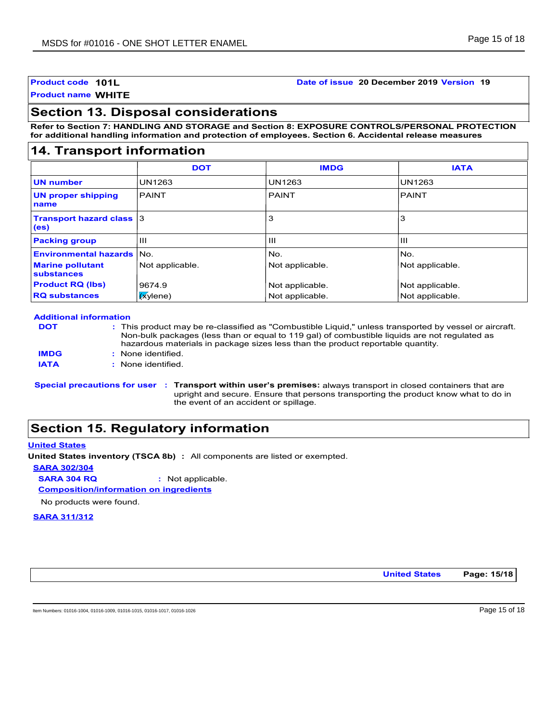#### **Product code 101L Date of issue 20 December 2019 Version 19**

**Product name WHITE**

### **Section 13. Disposal considerations**

**Refer to Section 7: HANDLING AND STORAGE and Section 8: EXPOSURE CONTROLS/PERSONAL PROTECTION for additional handling information and protection of employees. Section 6. Accidental release measures**

#### **14. Transport information**

|                                         | <b>DOT</b>      | <b>IMDG</b>     | <b>IATA</b>     |
|-----------------------------------------|-----------------|-----------------|-----------------|
| <b>UN number</b>                        | <b>UN1263</b>   | <b>UN1263</b>   | UN1263          |
| <b>UN proper shipping</b><br>name       | PAINT           | <b>PAINT</b>    | <b>PAINT</b>    |
| <b>Transport hazard class 3</b><br>(es) |                 | 3               | 3               |
| <b>Packing group</b>                    | Ш               | Ш               | Ш               |
| <b>Environmental hazards No.</b>        |                 | No.             | No.             |
| <b>Marine pollutant</b><br>substances   | Not applicable. | Not applicable. | Not applicable. |
| <b>Product RQ (lbs)</b>                 | 9674.9          | Not applicable. | Not applicable. |
| <b>RQ substances</b>                    | <b>Kylene</b> ) | Not applicable. | Not applicable. |

#### **Additional information**

| <b>DOT</b>  | : This product may be re-classified as "Combustible Liquid," unless transported by vessel or aircraft.<br>Non-bulk packages (less than or equal to 119 gal) of combustible liquids are not regulated as<br>hazardous materials in package sizes less than the product reportable quantity. |
|-------------|--------------------------------------------------------------------------------------------------------------------------------------------------------------------------------------------------------------------------------------------------------------------------------------------|
| <b>IMDG</b> | : None identified.                                                                                                                                                                                                                                                                         |
| <b>IATA</b> | : None identified.                                                                                                                                                                                                                                                                         |

**Special precautions for user Transport within user's premises:** always transport in closed containers that are **:** upright and secure. Ensure that persons transporting the product know what to do in the event of an accident or spillage.

# **Section 15. Regulatory information**

#### **United States**

**United States inventory (TSCA 8b) :** All components are listed or exempted.

#### **SARA 302/304**

**SARA 304 RQ :** Not applicable.

#### **Composition/information on ingredients**

No products were found.

#### **SARA 311/312**

**United States Page: 15/18**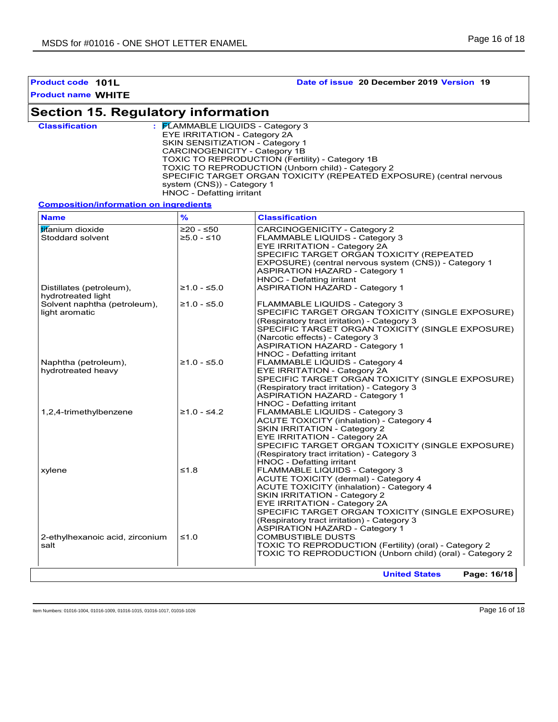#### **Product code 101L Date of issue 20 December 2019 Version 19**

# **Section 15. Regulatory information**

| <b>Classification</b> | $\frac{1}{2}$ $\mathsf{FLAMMABLE}$ LIQUIDS - Category 3             |
|-----------------------|---------------------------------------------------------------------|
|                       | EYE IRRITATION - Category 2A                                        |
|                       | SKIN SENSITIZATION - Category 1                                     |
|                       | CARCINOGENICITY - Category 1B                                       |
|                       | TOXIC TO REPRODUCTION (Fertility) - Category 1B                     |
|                       | TOXIC TO REPRODUCTION (Unborn child) - Category 2                   |
|                       | SPECIFIC TARGET ORGAN TOXICITY (REPEATED EXPOSURE) (central nervous |
|                       | system (CNS)) - Category 1                                          |
|                       | HNOC - Defatting irritant                                           |
|                       |                                                                     |

#### **Composition/information on ingredients**

| <b>Name</b>                                    | $\%$                        | <b>Classification</b>                                                                                                                                                                                                                                                                                                                        |
|------------------------------------------------|-----------------------------|----------------------------------------------------------------------------------------------------------------------------------------------------------------------------------------------------------------------------------------------------------------------------------------------------------------------------------------------|
| <b>titanium</b> dioxide<br>Stoddard solvent    | $≥20 - ≤50$<br>$≥5.0 - ≤10$ | CARCINOGENICITY - Category 2<br>FLAMMABLE LIQUIDS - Category 3<br>EYE IRRITATION - Category 2A<br>SPECIFIC TARGET ORGAN TOXICITY (REPEATED<br>EXPOSURE) (central nervous system (CNS)) - Category 1<br><b>ASPIRATION HAZARD - Category 1</b><br><b>HNOC - Defatting irritant</b>                                                             |
| Distillates (petroleum),<br>hydrotreated light | $≥1.0 - ≤5.0$               | <b>ASPIRATION HAZARD - Category 1</b>                                                                                                                                                                                                                                                                                                        |
| Solvent naphtha (petroleum),<br>light aromatic | $≥1.0 - ≤5.0$               | <b>FLAMMABLE LIQUIDS - Category 3</b><br>SPECIFIC TARGET ORGAN TOXICITY (SINGLE EXPOSURE)<br>(Respiratory tract irritation) - Category 3<br>SPECIFIC TARGET ORGAN TOXICITY (SINGLE EXPOSURE)<br>(Narcotic effects) - Category 3<br><b>ASPIRATION HAZARD - Category 1</b><br><b>HNOC - Defatting irritant</b>                                 |
| Naphtha (petroleum),<br>hydrotreated heavy     | $≥1.0 - ≤5.0$               | FLAMMABLE LIQUIDS - Category 4<br>EYE IRRITATION - Category 2A<br>SPECIFIC TARGET ORGAN TOXICITY (SINGLE EXPOSURE)<br>(Respiratory tract irritation) - Category 3<br><b>ASPIRATION HAZARD - Category 1</b><br>HNOC - Defatting irritant                                                                                                      |
| 1,2,4-trimethylbenzene                         | $≥1.0 - ≤4.2$               | FLAMMABLE LIQUIDS - Category 3<br><b>ACUTE TOXICITY (inhalation) - Category 4</b><br><b>SKIN IRRITATION - Category 2</b><br>EYE IRRITATION - Category 2A<br>SPECIFIC TARGET ORGAN TOXICITY (SINGLE EXPOSURE)<br>(Respiratory tract irritation) - Category 3<br><b>HNOC - Defatting irritant</b>                                              |
| xylene                                         | $≤1.8$                      | FLAMMABLE LIQUIDS - Category 3<br>ACUTE TOXICITY (dermal) - Category 4<br><b>ACUTE TOXICITY (inhalation) - Category 4</b><br><b>SKIN IRRITATION - Category 2</b><br>EYE IRRITATION - Category 2A<br>SPECIFIC TARGET ORGAN TOXICITY (SINGLE EXPOSURE)<br>(Respiratory tract irritation) - Category 3<br><b>ASPIRATION HAZARD - Category 1</b> |
| 2-ethylhexanoic acid, zirconium<br>salt        | ≤1.0                        | COMBUSTIBLE DUSTS<br>TOXIC TO REPRODUCTION (Fertility) (oral) - Category 2<br>TOXIC TO REPRODUCTION (Unborn child) (oral) - Category 2                                                                                                                                                                                                       |
|                                                |                             | <b>United States</b><br>Page: 16/18                                                                                                                                                                                                                                                                                                          |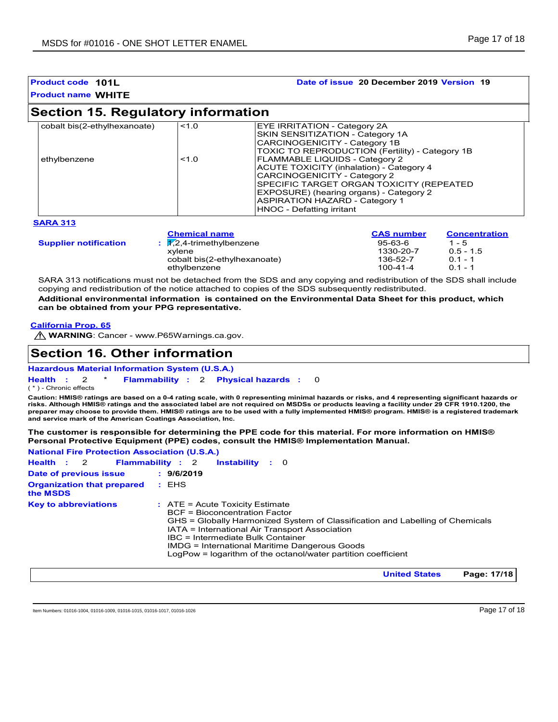| Product code 101L<br><b>Product name WHITE</b> |                | Date of issue 20 December 2019 Version 19                                                                                                                                                                                                                                                                                                                                                                                                                          |  |
|------------------------------------------------|----------------|--------------------------------------------------------------------------------------------------------------------------------------------------------------------------------------------------------------------------------------------------------------------------------------------------------------------------------------------------------------------------------------------------------------------------------------------------------------------|--|
| <b>Section 15. Regulatory information</b>      |                |                                                                                                                                                                                                                                                                                                                                                                                                                                                                    |  |
| cobalt bis(2-ethylhexanoate)<br>ethylbenzene   | < 1.0<br>< 1.0 | EYE IRRITATION - Category 2A<br>SKIN SENSITIZATION - Category 1A<br>CARCINOGENICITY - Category 1B<br><b>TOXIC TO REPRODUCTION (Fertility) - Category 1B</b><br><b>FLAMMABLE LIQUIDS - Category 2</b><br><b>ACUTE TOXICITY (inhalation) - Category 4</b><br><b>CARCINOGENICITY - Category 2</b><br>SPECIFIC TARGET ORGAN TOXICITY (REPEATED<br>EXPOSURE) (hearing organs) - Category 2<br><b>ASPIRATION HAZARD - Category 1</b><br><b>HNOC - Defatting irritant</b> |  |
| <b>SARA 313</b>                                |                |                                                                                                                                                                                                                                                                                                                                                                                                                                                                    |  |

| <b>Supplier notification</b> | <b>Chemical name</b>             | <b>CAS number</b> | <b>Concentration</b> |
|------------------------------|----------------------------------|-------------------|----------------------|
|                              | : $\sqrt{2}$ ,4-trimethylbenzene | 95-63-6           | $1 - 5$              |
|                              | xvlene                           | 1330-20-7         | $0.5 - 1.5$          |
|                              | cobalt bis(2-ethylhexanoate)     | 136-52-7          | $0.1 - 1$            |
|                              | ethylbenzene                     | $100 - 41 - 4$    | $01 - 1$             |
|                              |                                  |                   |                      |

SARA 313 notifications must not be detached from the SDS and any copying and redistribution of the SDS shall include copying and redistribution of the notice attached to copies of the SDS subsequently redistributed.

**Additional environmental information is contained on the Environmental Data Sheet for this product, which can be obtained from your PPG representative.**

#### **California Prop. 65**

**WARNING**: Cancer - www.P65Warnings.ca.gov.

### **Section 16. Other information**

**Hazardous Material Information System (U.S.A.)**

**Health** : 2 \* **Flammability** : 2 **Physical hazards** : 0 0

( \* ) - Chronic effects

Caution: HMIS® ratings are based on a 0-4 rating scale, with 0 representing minimal hazards or risks, and 4 representing significant hazards or<br>risks. Although HMIS® ratings and the associated label are not required on MSD **preparer may choose to provide them. HMIS® ratings are to be used with a fully implemented HMIS® program. HMIS® is a registered trademark and service mark of the American Coatings Association, Inc.**

**The customer is responsible for determining the PPE code for this material. For more information on HMIS® Personal Protective Equipment (PPE) codes, consult the HMIS® Implementation Manual.**

| <b>National Fire Protection Association (U.S.A.)</b> |                                                                                                                                                                                                                                                                                                                                                                     |
|------------------------------------------------------|---------------------------------------------------------------------------------------------------------------------------------------------------------------------------------------------------------------------------------------------------------------------------------------------------------------------------------------------------------------------|
| Health : 2 Flammability : 2                          | <b>Instability</b> : 0                                                                                                                                                                                                                                                                                                                                              |
| Date of previous issue                               | : 9/6/2019                                                                                                                                                                                                                                                                                                                                                          |
| <b>Organization that prepared : EHS</b><br>the MSDS  |                                                                                                                                                                                                                                                                                                                                                                     |
| <b>Key to abbreviations</b>                          | $:$ ATE = Acute Toxicity Estimate<br><b>BCF</b> = Bioconcentration Factor<br>GHS = Globally Harmonized System of Classification and Labelling of Chemicals<br>IATA = International Air Transport Association<br>IBC = Intermediate Bulk Container<br>IMDG = International Maritime Dangerous Goods<br>LogPow = logarithm of the octanol/water partition coefficient |

**United States Page: 17/18**

Item Numbers: 01016-1004, 01016-1009, 01016-1015, 01016-1017, 01016-1026 Page 17 of 18